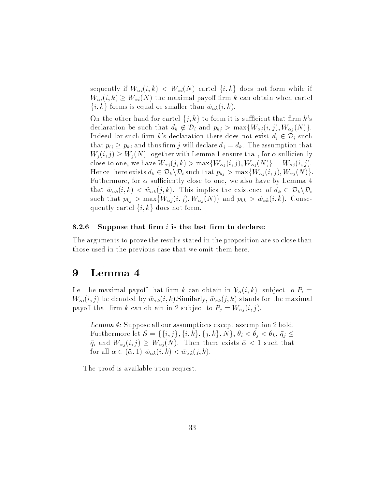sequently if  $W_{\alpha i}(i, k) \leq W_{\alpha i}(N)$  cartel  $\{i, k\}$  does not form while if  $W_{\alpha i}(i, k) \geq W_{\alpha i}(N)$  the maximal payoff firm k can obtain when cartel  $\{i, k\}$  forms is equal or smaller than  $\tilde{w}_{\alpha k}(i, k)$ .

On the other hand for cartel  $\{j, k\}$  to form it is sufficient that firm k's declaration be such that  $d_k \notin \mathcal{D}_i$  and  $p_{kj} > \max\{W_{\alpha j}(i, j), W_{\alpha j}(N)\}.$ Indeed for such firm k's declaration there does not exist  $d_i \in \mathcal{D}_i$  such that  $p_{ij} \geq p_{kj}$  and thus firm j will declare  $d_j = d_k$ . The assumption that  $W_j(i,j) \geq W_j(N)$  together with Lemma 1 ensure that, for  $\alpha$  sufficiently close to one, we have  $W_{\alpha j}(j, k) > \max\{W_{\alpha j}(i, j), W_{\alpha j}(N)\} = W_{\alpha j}(i, j).$ Hence there exists  $d_k \in \mathcal{D}_k \backslash \mathcal{D}_i$  such that  $p_{kj} > \max\{W_{\alpha j} (i,j), W_{\alpha j} (N)\}.$ Futhermore, for  $\alpha$  sufficiently close to one, we also have by Lemma 4 that  $\tilde{w}_{\alpha k}(i, k) < \tilde{w}_{\alpha k}(j, k)$ . This implies the existence of  $d_k \in \mathcal{D}_k \backslash \mathcal{D}_i$ such that  $p_{kj} > \max\{W_{\alpha j}(i,j), W_{\alpha j}(N)\}$  and  $p_{kk} > \tilde{w}_{\alpha k}(i,k)$ . Consequently cartel  $\{i, k\}$  does not form.

### 8.2.6 Suppose that firm  $i$  is the last firm to declare:

The arguments to prove the results stated in the proposition are so close than those used in the previous case that we omit them here.

## <sup>9</sup> Lemma 4

Let the maximal payoff that firm k can obtain in  $\mathcal{V}_{\alpha}(i, k)$  subject to  $P_i =$  $W_{\alpha i}(i, j)$  be denoted by  $\tilde{w}_{\alpha k}(i, k)$ . Similarly,  $\tilde{w}_{\alpha k}(j, k)$  stands for the maximal payoff that firm k can obtain in 2 subject to  $P_j = W_{\alpha j}(i, j)$ .

Lemma 4: Suppose all our assumptions except assumption 2 hold. Furthermore let  $\mathcal{S} = \{\{i,j\},\{i,k\},\{j,k\},N\},\,\theta_i < \theta_i < \theta_k,\,\bar{q}_i \leq \bar{q}_i$  $\bar{q}_i$  and  $W_{\alpha i}(i, j) \geq W_{\alpha i}(N)$ . Then there exists  $\bar{\alpha} < 1$  such that for all  $\alpha \in (\bar{\alpha}, 1)$   $\tilde{w}_{\alpha k}(i, k) < \tilde{w}_{\alpha k}(j, k)$ .

The proof is available upon request.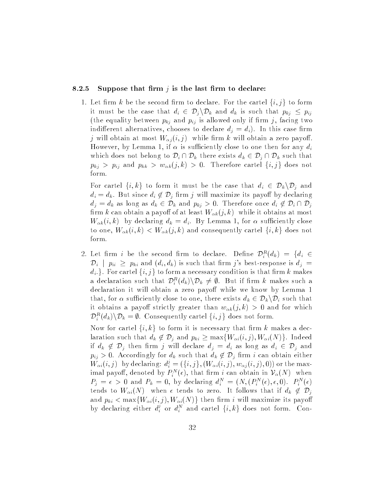### 8.2.5 Suppose that firm *j* is the last firm to declare:

1. Let firm k be the second firm to declare. For the cartel  $\{i, j\}$  to form it must be the case that  $d_i \in \mathcal{D}_j \backslash \mathcal{D}_k$  and  $d_k$  is such that  $p_{kj} \leq p_{ij}$ (the equality between  $p_{kj}$  and  $p_{ij}$  is allowed only if firm j, facing two indifferent alternatives, chooses to declare  $d_i = d_i$ ). In this case firm  $j$  will obtain at most  $W_{\alpha j}(i,j)$  while firm  $k$  will obtain a zero payoff. However, by Lemma 1, if  $\alpha$  is sufficiently close to one then for any  $d_i$ which does not belong to  $\mathcal{D}_i \cap \mathcal{D}_k$  there exists  $d_k \in \mathcal{D}_i \cap \mathcal{D}_k$  such that  $p_{kj} > p_{ij}$  and  $p_{kk} > w_{\alpha k}(j, k) > 0$ . Therefore cartel  $\{i, j\}$  does not form.

For cartel  $\{i, k\}$  to form it must be the case that  $d_i \in \mathcal{D}_k \backslash \mathcal{D}_j$  and  $d_i = d_k$ . But since  $d_i \notin \mathcal{D}_j$  firm j will maximize its payoff by declaring  $d_j = d_k$  as long as  $d_k \in \mathcal{D}_k$  and  $p_{kj} > 0$ . Therefore once  $d_i \notin \mathcal{D}_i \cap \mathcal{D}_j$ firm k can obtain a payoff of at least  $W_{\alpha k}(j, k)$  while it obtains at most  $W_{\alpha k}(i, k)$  by declaring  $d_k = d_i$ . By Lemma 1, for  $\alpha$  sufficiently close to one,  $W_{\alpha k}(i,k) < W_{\alpha k}(j,k)$  and consequently cartel  $\{i,k\}$  does not form.

2. Let  $\lim_{k \to \infty} i$  be the second  $\lim_{k \to \infty}$  to declare. Define  $\nu_i^{\perp}(a_k) = \{a_i \in \mathbb{R}^d : a_i \in \mathbb{R}^d : a_i \in \mathbb{R}^d\}$  $\mathcal{D}_i$  |  $p_{ii} \geq p_{ki}$  and  $(d_i, d_k)$  is such that firm j's best-response is  $d_j =$  $d_i$ . For cartel  $\{i, j\}$  to form a necessary condition is that firm k makes a declaration such that  $D_i^{\pm}(a_k) \setminus D_k \neq \emptyset$ . But if firm k makes such a declaration it will obtain a zero payoff while we know by Lemma 1 that, for  $\alpha$  sufficiently close to one, there exists  $d_k \in \mathcal{D}_k \backslash \mathcal{D}_i$  such that it obtains a payoff strictly greater than  $w_{\alpha k}(j, k) > 0$  and for which  $D_i^{\tau}(a_k)\setminus D_k = \emptyset$ . Consequently cartel  $\{i, j\}$  does not form.

Now for cartel  $\{i, k\}$  to form it is necessary that firm k makes a declaration such that  $d_k \notin \mathcal{D}_j$  and  $p_{ki} \ge \max\{W_{\alpha i}(i,j), W_{\alpha i}(N)\}\.$  Indeed if  $d_k \notin \mathcal{D}_j$  then firm j will declare  $d_j = d_i$  as long as  $d_i \in \mathcal{D}_j$  and  $p_{ij} > 0$ . Accordingly for  $d_k$  such that  $d_k \notin \mathcal{D}_j$  firm i can obtain either  $W_{\alpha i}(i,j)$  -by declaring:  $d_i^i = (\{i,j\}, (W_{\alpha i}(i,j), w_{\alpha j}(i,j), 0))$  or the maximal payon, denoted by  $F_i^+(e)$ , that lift v can obtain in  $\mathcal{V}_\alpha(N)$  when  $\Gamma_j = \epsilon > 0$  and  $\Gamma_k = 0$ , by declaring  $a_i^+ = (N, (F_i^+ (\epsilon), \epsilon, 0), \ F_i^+ (\epsilon))$ tends to  $W_{\alpha i}(N)$  when  $\epsilon$  tends to zero. It follows that if  $d_k \notin \mathcal{D}_j$ and  $p_{ki} < \max\{W_{\alpha i}(i,j), W_{\alpha i}(N)\}\)$  then firm i will maximize its payoff by declaring either  $d_i^c$  or  $d_i^s$  and cartel  $\{i,k\}$  does not form. Con-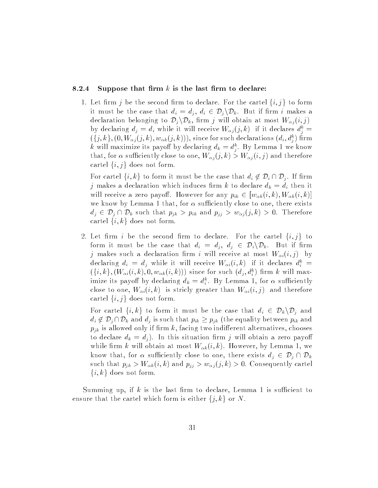### 8.2.4 Suppose that firm  $k$  is the last firm to declare:

1. Let firm j be the second firm to declare. For the cartel  $\{i, j\}$  to form it must be the case that  $d_i = d_j, d_i \in \mathcal{D}_j \backslash \mathcal{D}_k$ . But if firm i makes a declaration belonging to  $\mathcal{D}_j \backslash \mathcal{D}_k$ , firm j will obtain at most  $W_{\alpha j}(i, j)$ by declaring  $a_j = a_i$  while it will receive  $W_{\alpha j}(j, \kappa)$  if it declares  $a_i^* =$  $((j, \kappa), (0, W_{\alpha j}(j, \kappa), w_{\alpha k}(j, \kappa))))$ , since for such declarations  $(a_i, a_j)$  firm k will maximize its payon by declaring  $a_k = a_{\hat{i}}$ . By Lemma 1 we know that, for  $\alpha$  sufficiently close to one,  $W_{\alpha i}(j, k) > W_{\alpha i}(i, j)$  and therefore cartel  $\{i, j\}$  does not form.

For cartel  $\{i, k\}$  to form it must be the case that  $d_i \notin \mathcal{D}_i \cap \mathcal{D}_i$ . If firm  $j$  makes a declaration which induces firm  $k$  to declare  $d_k = d_i$  then it will receive a zero payoff. However for any  $p_{ik} \in [w_{\alpha k}(i, k), W_{\alpha k}(i, k)]$ we know by Lemma 1 that, for  $\alpha$  sufficiently close to one, there exists  $d_j \in \mathcal{D}_j \cap \mathcal{D}_k$  such that  $p_{jk} > p_{ik}$  and  $p_{jj} > w_{\alpha j} (j, k) > 0$ . Therefore cartel  $\{i, k\}$  does not form.

2. Let firm i be the second firm to declare. For the cartel  $\{i, j\}$  to form it must be the case that  $d_i = d_j, d_j \in \mathcal{D}_i \backslash \mathcal{D}_k$ . But if firm j makes such a declaration firm i will receive at most  $W_{\alpha i}(i, j)$  by declaring  $a_i = a_j$  while it will receive  $W_{\alpha i}(i,k)$  if it declares  $a_i^* =$  $(\{i,\kappa\},W_{\alpha i}(i,\kappa),0,w_{\alpha k}(i,\kappa)))$  since for such  $(a_j,a_i)$  firm  $\kappa$  will maximize its payon by declaring  $a_k = a_i^{\perp}$ . By Lemma 1, for  $\alpha$  sufficiently close to one,  $W_{\alpha i}(i, k)$  is stricly greater than  $W_{\alpha i}(i, j)$  and therefore cartel  $\{i, j\}$  does not form.

For cartel  $\{i, k\}$  to form it must be the case that  $d_i \in \mathcal{D}_k \backslash \mathcal{D}_j$  and  $d_i \notin \mathcal{D}_j \cap \mathcal{D}_k$  and  $d_j$  is such that  $p_{ik} \geq p_{jk}$  (the equality between  $p_{ik}$  and  $p_{ik}$  is allowed only if firm k, facing two indifferent alternatives, chooses to declare  $d_k = d_j$ ). In this situation firm j will obtain a zero payoff while firm k will obtain at most  $W_{\alpha k}(i, k)$ . However, by Lemma 1, we know that, for  $\alpha$  sufficiently close to one, there exists  $d_i \in \mathcal{D}_i \cap \mathcal{D}_k$ such that  $p_{jk} > W_{\alpha k}(i, k)$  and  $p_{jj} > w_{\alpha j}(j, k) > 0$ . Consequently cartel  $\{i, k\}$  does not form.

Summing up, if  $k$  is the last firm to declare, Lemma 1 is sufficient to ensure that the cartel which form is either  $\{j, k\}$  or N.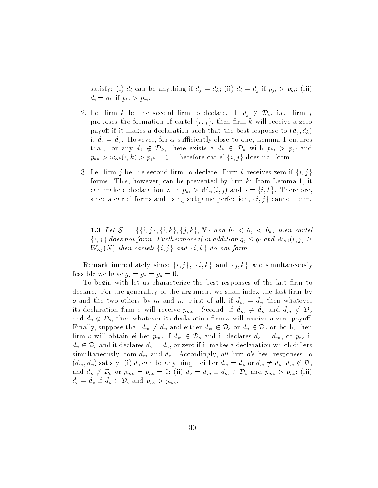satisfy: (i)  $d_i$  can be anything if  $d_j = d_k$ ; (ii)  $d_i = d_j$  if  $p_{ji} > p_{ki}$ ; (iii)  $d_i = d_k$  if  $p_{ki} > p_{ji}$ .

- 2. Let firm k be the second firm to declare. If  $d_i \notin \mathcal{D}_k$ , i.e. firm j proposes the formation of cartel  $\{i, j\}$ , then firm k will receive a zero payoff if it makes a declaration such that the best-response to  $(d_i, d_k)$ is  $d_i = d_j$ . However, for  $\alpha$  sufficiently close to one, Lemma 1 ensures that, for any  $d_j \notin \mathcal{D}_k$ , there exists a  $d_k \in \mathcal{D}_k$  with  $p_{ki} > p_{ji}$  and  $p_{kk} > w_{\alpha k}(i, k) > p_{jk} = 0.$  Therefore cartel  $\{i, j\}$  does not form.
- 3. Let firm  $j$  be the second firm to declare. Firm  $k$  receives zero if  $\{i,j\}$ forms. This, however, can be prevented by firm  $k$ : from Lemma 1, it can make a declaration with  $p_{ki} > W_{\alpha i}(i,j)$  and  $s = \{i, k\}$ . Therefore, since a cartel forms and using subgame perfection,  $\{i,j\}$  cannot form.

1.3 Let  $\mathcal{S} = \{\{i, j\}, \{i, k\}, \{j, k\}, N\}$  and  $\theta_i < \theta_i < \theta_k$ , then cartel  $\{i, j\}$  does not form. Furthermore if in addition  $\bar{q}_j \leq \bar{q}_i$  and  $W_{\alpha j} (i, j) \geq 0$  $W_{\alpha i}(N)$  then cartels  $\{i, j\}$  and  $\{i, k\}$  do not form.

Remark immediately since  $\{i, j\}$ ,  $\{i, k\}$  and  $\{j, k\}$  are simultaneously feasible we have  $\bar{g}_i = \bar{g}_j = \bar{g}_k = 0$ .

To begin with let us characterize the best-responses of the last firm to declare. For the generality of the argument we shall index the last firm by o and the two others by m and n. First of all, if  $d_m = d_n$  then whatever its declaration firm o will receive  $p_{mo}$ . Second, if  $d_m \neq d_n$  and  $d_m \notin \mathcal{D}_o$ and  $d_n \notin \mathcal{D}_o$ , then whatever its declaration firm o will receive a zero payoff. Finally, suppose that  $d_m \neq d_n$  and either  $d_m \in \mathcal{D}_o$  or  $d_n \in \mathcal{D}_o$  or both, then firm o will obtain either  $p_{m_0}$  if  $d_m \in \mathcal{D}_0$  and it declares  $d_o = d_m$ , or  $p_{no}$  if  $d_n \in \mathcal{D}_o$  and it declares  $d_o = d_n$ , or zero if it makes a declaration which differs simultaneously from  $d_m$  and  $d_n$ . Accordingly, all firm o's best-responses to  $(d_m, d_n)$  satisfy: (i)  $d_o$  can be anything if either  $d_m = d_n$  or  $d_m \neq d_n, d_m \notin \mathcal{D}_o$ and  $d_n \notin \mathcal{D}_o$  or  $p_{mo} = p_{no} = 0$ ; (ii)  $d_o = d_m$  if  $d_m \in \mathcal{D}_o$  and  $p_{mo} > p_{no}$ ; (iii)  $d_o = d_n$  if  $d_n \in \mathcal{D}_o$  and  $p_{no} > p_{mo}$ .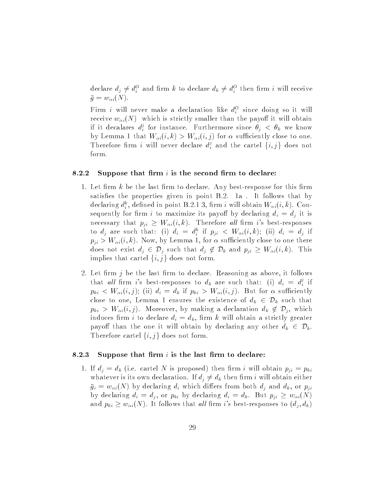declare  $a_j \neq a_i^{\dagger}$  and lift  $\kappa$  to declare  $a_k \neq a_i^{\dagger}$  then lift  $i$  will receive  $\bar{g} = w_{\alpha i}(N).$ 

Firm i will never make a declaration like  $a_i^{\perp}$  since doing so it will receive  $w_{\alpha i}(N)$  which is strictly smaller than the payoff it will obtain if it decalares  $d_i^c$  for instance. Furthermore since  $\theta_j \ < \theta_k$  we know by Lemma 1 that  $W_{\alpha i}(i, k) > W_{\alpha i}(i, j)$  for  $\alpha$  sufficiently close to one. Therefore firm i will never declare  $d_i^s$  and the cartel  $\{i, j\}$  does not form.

### 8.2.2 Suppose that firm  $i$  is the second firm to declare:

- 1. Let firm  $k$  be the last firm to declare. Any best-response for this firm satisfies the properties given in point B.2. 1a. It follows that by declaring  $a_i$ , defined in point **B.2.1** 3, firm i will obtain  $W_{\alpha i}(i, \kappa)$ . Consequently for firm i to maximize its payoff by declaring  $d_i = d_j$  it is necessary that  $p_{ji} \geq W_{\alpha i}(i, k)$ . Therefore all firm i's best-responses to  $a_j$  are such that: (i)  $a_i = a_i$  if  $p_{ji}$   $\langle$   $w_{\alpha i}(i, \kappa)$ ; (ii)  $a_i = a_j$  if  $p_{ii} > W_{\alpha i}(i,k)$ . Now, by Lemma 1, for  $\alpha$  sufficiently close to one there does not exist  $d_j \in \mathcal{D}_j$  such that  $d_j \notin \mathcal{D}_k$  and  $p_{ji} \geq W_{\alpha i}(i, k)$ . This implies that cartel  $\{i, j\}$  does not form.
- 2. Let firm  $j$  be the last firm to declare. Reasoning as above, it follows that all firm i's best-responses to  $d_k$  are such that: (i)  $d_i = d_i^j$  if  $p_{ki} < W_{\alpha i}(i, j);$  (ii)  $d_i = d_k$  if  $p_{ki} > W_{\alpha i}(i, j)$ . But for  $\alpha$  sufficiently close to one, Lemma 1 ensures the existence of  $d_k \in \mathcal{D}_k$  such that  $p_{ki} > W_{\alpha i}(i, j)$ . Moreover, by making a declaration  $d_k \notin \mathcal{D}_j$ , which induces firm *i* to declare  $d_i = d_k$ , firm *k* will obtain a strictly greater payoff than the one it will obtain by declaring any other  $d_k \in \mathcal{D}_k$ . Therefore cartel  $\{i, j\}$  does not form.

#### 8.2.3 Suppose that firm  $i$  is the last firm to declare:

1. If  $d_j = d_k$  (i.e. cartel N is proposed) then firm i will obtain  $p_{ji} = p_{ki}$ whatever is its own declaration. If  $d_j \neq d_k$  then firm i will obtain either  $\bar{g}_i = w_{\alpha i}(N)$  by declaring  $d_i$  which differs from both  $d_j$  and  $d_k$ , or  $p_{ji}$ by declaring  $d_i = d_j$ , or  $p_{ki}$  by declaring  $d_i = d_k$ . But  $p_{ji} \geq w_{\alpha i}(N)$ and  $p_{ki} \geq w_{\alpha i}(N)$ . It follows that all firm i's best-responses to  $(d_i, d_k)$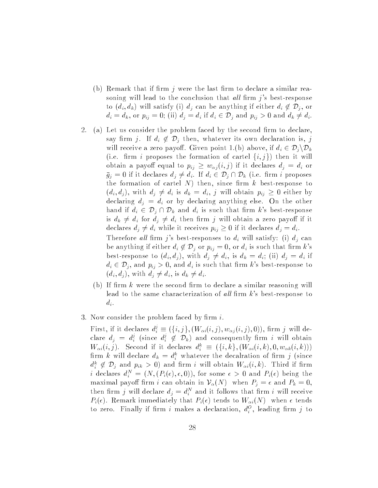- (b) Remark that if firm  $\eta$  were the last firm to declare a similar reasoning will lead to the conclusion that all firm  $j$ 's best-response to  $(d_i, d_k)$  will satisfy (i)  $d_j$  can be anything if either  $d_i \notin \mathcal{D}_j$ , or  $d_i = d_k$ , or  $p_{ij} = 0$ ; (ii)  $d_j = d_i$  if  $d_i \in \mathcal{D}_j$  and  $p_{ij} > 0$  and  $d_k \neq d_i$ .
- 2. (a) Let us consider the problem faced by the second firm to declare, say firm j. If  $d_i \notin \mathcal{D}_i$  then, whatever its own declaration is, j will receive a zero payoff. Given point 1.(b) above, if  $d_i \in \mathcal{D}_j \backslash \mathcal{D}_k$ (i.e. firm i proposes the formation of cartel  $\{i, j\}$ ) then it will obtain a payoff equal to  $p_{ij} \geq w_{\alpha j}(i, j)$  if it declares  $d_j = d_i$  or  $\bar{g}_j = 0$  if it declares  $d_j \neq d_i$ . If  $d_i \in \mathcal{D}_j \cap \mathcal{D}_k$  (i.e. firm i proposes the formation of cartel  $N$ ) then, since firm  $k$  best-response to  $(d_i, d_j)$ , with  $d_j \neq d_i$  is  $d_k = d_i$ , j will obtain  $p_{ij} \geq 0$  either by declaring  $d_j = d_i$  or by declaring anything else. On the other hand if  $d_i \in \mathcal{D}_j \cap \mathcal{D}_k$  and  $d_i$  is such that firm k's best-response is  $d_k \neq d_i$  for  $d_j \neq d_i$  then firm j will obtain a zero payoff if it declares  $d_j \neq d_i$  while it receives  $p_{ij} \geq 0$  if it declares  $d_j = d_i$ . Therefore all firm j's best-responses to  $d_i$  will satisfy: (i)  $d_j$  can be anything if either  $d_i \notin \mathcal{D}_i$  or  $p_{ij} = 0$ , or  $d_i$  is such that firm k's best-response to  $(d_i, d_j)$ , with  $d_j \neq d_i$ , is  $d_k = d_i$ ; (ii)  $d_j = d_i$  if  $d_i \in \mathcal{D}_j$ , and  $p_{ij} > 0$ , and  $d_i$  is such that firm k's best-response to  $(d_i, d_j)$ , with  $d_j \neq d_i$ , is  $d_k \neq d_i$ .
	- (b) If firm  $k$  were the second firm to declare a similar reasoning will lead to the same characterization of all firm  $k$ 's best-response to  $d_i$ .
- 3. Now consider the problem faced by firm  $i$ .

First, if it declares  $d_i^s \equiv (\{i, j\}, (W_{\alpha i}(i, j), w_{\alpha j}(i, j), 0))$ , firm j will declare  $d_j = d_i^c$  (since  $d_i^c \notin \mathcal{D}_k$ ) and consequently firm i will obtain  $W_{\alpha i}(i, j)$ . Second if it declares  $a_i^* = (\{i, \kappa\}, (W_{\alpha i}(i, \kappa), 0, w_{\alpha k}(i, \kappa)))$ iff  $\kappa$  will declare  $a_k = a_{\tilde{i}}$  whatever the decalration of firm  $j$  (since  $a_i^u \notin D_j$  and  $p_{ik} > 0$ ) and firm v will obtain  $W_{\alpha i}(i,k)$ . Third if firm *i* declares  $a_i^+ = (N, (F_i(\epsilon), \epsilon, 0)),$  for some  $\epsilon > 0$  and  $F_i(\epsilon)$  being the maximal payoff firm i can obtain in  $\mathcal{V}_{\alpha}(N)$  when  $P_j = \epsilon$  and  $P_k = 0$ , then  $\lim_{i \to \infty} j$  will declare  $a_j = a_i^*$  and it follows that firm i will receive  $P_i(\epsilon)$ . Remark immediately that  $P_i(\epsilon)$  tends to  $W_{\alpha i}(N)$  when  $\epsilon$  tends to zero. Finally if firm  $i$  makes a declaration,  $a_i^{\pm}$ , leading firm  $j$  to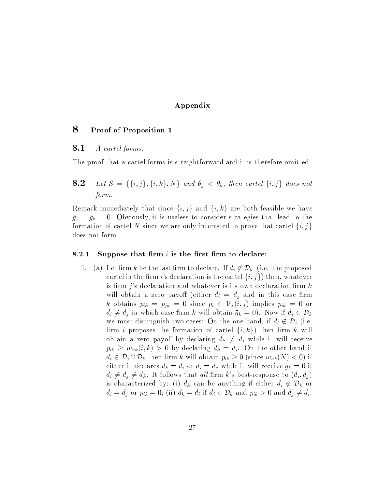### Appendix

### 8 Proof of Proposition 1

### **8.1** A cartel forms.

The proof that a cartel forms is straightforward and it is therefore omitted.

**8.2** Let  $S = \{\{i, j\}, \{i, k\}, N\}$  and  $\theta_i < \theta_k$ , then cartel  $\{i, j\}$  does not form.

Remark immediately that since  $\{i, j\}$  and  $\{i, k\}$  are both feasible we have  $\bar{g}_i = \bar{g}_k = 0$ . Obviously, it is useless to consider strategies that lead to the formation of cartel N since we are only interested to prove that cartel  $\{i, j\}$ does not form.

### 8.2.1 Suppose that firm  $i$  is the first firm to declare:

1. (a) Let firm k be the last firm to declare. If  $d_i \notin \mathcal{D}_k$  (i.e. the proposed cartel in the firm i's declaration is the cartel  $\{i, j\}$  then, whatever is firm  $j$ 's declaration and whatever is its own declaration firm  $k$ will obtain a zero payoff (either  $d_i = d_j$  and in this case firm k obtains  $p_{ik} = p_{jk} = 0$  since  $p_i \in V_\alpha(i, j)$  implies  $p_{ik} = 0$  or  $d_i \neq d_j$  in which case firm k will obtain  $\bar{g}_k = 0$ ). Now if  $d_i \in \mathcal{D}_k$ we must distinguish two cases: On the one hand, if  $d_i \notin \mathcal{D}_i$  (i.e. firm *i* proposes the formation of cartel  $\{i, k\}$  then firm k will obtain a zero payoff by declaring  $d_k \neq d_i$  while it will receive  $p_{ik} \geq w_{\alpha k}(i, k) > 0$  by declaring  $d_k = d_i$ . On the other hand if  $d_i \in \mathcal{D}_j \cap \mathcal{D}_k$  then firm k will obtain  $p_{ik} \geq 0$  (since  $w_{\alpha k}(N) < 0$ ) if either it declares  $d_k = d_i$  or  $d_i = d_j$  while it will receive  $\bar{g}_k = 0$  if  $d_i \neq d_j \neq d_k$ . It follows that all firm k's best-response to  $(d_i, d_j)$ is characterized by: (i)  $d_k$  can be anything if either  $d_i \notin \mathcal{D}_k$  or  $d_i = d_j$  or  $p_{ik} = 0$ ; (ii)  $d_k = d_i$  if  $d_i \in \mathcal{D}_k$  and  $p_{ik} > 0$  and  $d_j \neq d_i$ .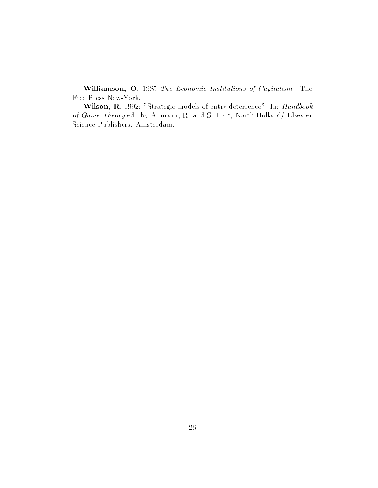Williamson, O. <sup>1985</sup> The Economic Institutions of Capitalism. The Free Press New-York.

Wilson, R. 1992: "Strategic models of entry deterrence". In: Handbook of Game Theory ed. by Aumann, R. and S. Hart, North-Holland/ Elsevier Science Publishers. Amsterdam.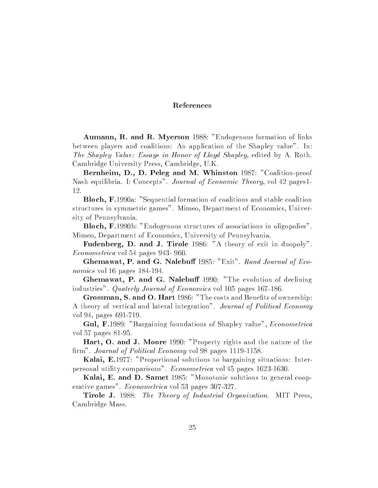### References

Aumann, R. and R. Myerson 1988: "Endogenous formation of links between players and coalitions: An application of the Shapley value". In: The Shapley Value: Essays in Honor of Lloyd Shapley, edited by A. Roth. Cambridge University Press, Cambridge, U.K.

Bernheim, D., D. Peleg and M. Whinston 1987: "Coalition-proof Nash equilibria. I: Concepts". Journal of Economic Theory, vol 42 pages1- 12.

Bloch, F.1990a: "Sequential formation of coalitions and stable coalition structures in symmetric games". Mimeo, Department of Economics, University of Pennsylvania.

Bloch, F.1990b: "Endogenous structures of associations in oligopolies". Mimeo, Department of Economics, University of Pennsylvania.

Fudenberg, D. and J. Tirole 1986: "A theory of exit in duopoly". Econometrica vol 54 pages 943- 960.

Ghemawat, P. and G. Nalebuff 1985: "Exit". Rand Journal of Economics vol 16 pages 184-194.

Ghemawat, P. and G. Nalebuff 1990: "The evolution of declining industries". Quaterly Journal of Economics vol 105 pages 167-186.

Grossman, S. and O. Hart 1986: "The costs and Benefits of ownership: A theory of vertical and lateral integration". Journal of Political Economy vol 94, pages 691-719.

Gul, F.1989: "Bargaining foundations of Shapley value", Econometrica vol 57 pages 81-95.

Hart, O. and J. Moore 1990: "Property rights and the nature of the firm". Journal of Political Economy vol 98 pages 1119-1158.

Kalai, E.1977: "Proportional solutions to bargaining situations: Interpersonal utility comparisons". Econometrica vol 45 pages 1623-1630.

Kalai, E. and D. Samet 1985: "Monotonic solutions to general cooperative games". Econometrica vol 53 pages 307-327.

Tirole J. 1988: The Theory of Industrial Organization. MIT Press, Cambridge Mass.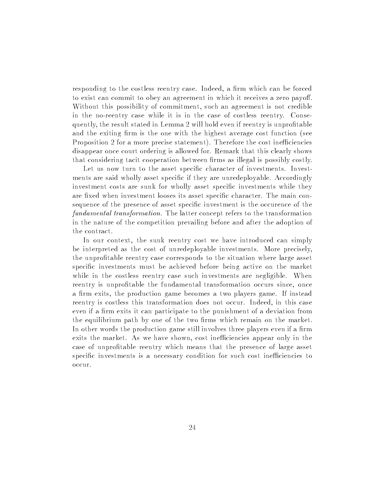responding to the costless reentry case. Indeed, a firm which can be forced to exist can commit to obey an agreement in which it receives a zero payoff. Without this possibility of commitment, such an agreement is not credible in the no-reentry case while it is in the case of costless reentry. Consequently, the result stated in Lemma 2 will hold even if reentry is unprofitable and the exiting firm is the one with the highest average cost function (see Proposition 2 for a more precise statement). Therefore the cost inefficiencies disappear once court ordering is allowed for. Remark that this clearly shows that considering tacit cooperation between firms as illegal is possibly costly.

Let us now turn to the asset specific character of investments. Investments are said wholly asset specific if they are unredeployable. Accordingly investment costs are sunk for wholly asset specific investments while they are fixed when investment looses its asset specific character. The main consequence of the presence of asset specic investment is the occurence of the fundamental transformation. The latter concept refers to the transformation in the nature of the competition prevailing before and after the adoption of the contract.

In our context, the sunk reentry cost we have introduced can simply be interpreted as the cost of unredeployable investments. More precisely, the unprotable reentry case corresponds to the situation where large asset specific investments must be achieved before being active on the market while in the costless reentry case such investments are negligible. When reentry is unprofitable the fundamental transformation occurs since, once a firm exits, the production game becomes a two players game. If instead reentry is costless this transformation does not occur. Indeed, in this case even if a firm exits it can participate to the punishment of a deviation from the equilibrium path by one of the two firms which remain on the market. In other words the production game still involves three players even if a firm exits the market. As we have shown, cost inefficiencies appear only in the case of unprotable reentry which means that the presence of large asset specific investments is a necessary condition for such cost inefficiencies to occur.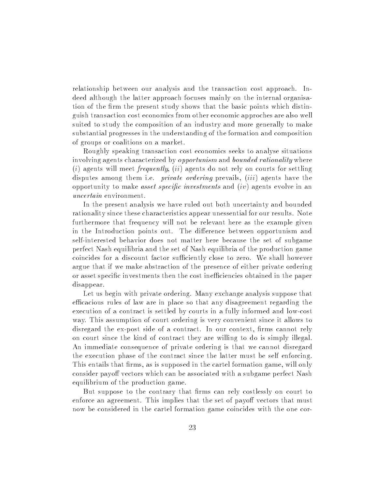relationship between our analysis and the transaction cost approach. Indeed although the latter approach focuses mainly on the internal organisation of the firm the present study shows that the basic points which distinguish transaction cost economics from other economic approches are also well suited to study the composition of an industry and more generally to make substantial progresses in the understanding of the formation and composition of groups or coalitions on a market.

Roughly speaking transaction cost economics seeks to analyse situations involving agents characterized by *opportunism* and *bounded rationality* where  $(i)$  agents will meet *frequently*,  $(ii)$  agents do not rely on courts for settling disputes among them i.e. *private ordering* prevails, *(iii)* agents have the opportunity to make *asset specific investments* and  $(iv)$  agents evolve in an uncertain environment.

In the present analysis we have ruled out both uncertainty and bounded rationality since these characteristics appear unessential for our results. Note furthermore that frequency will not be relevant here as the example given in the Introduction points out. The difference between opportunism and self-interested behavior does not matter here because the set of subgame perfect Nash equilibria and the set of Nash equilibria of the production game coincides for a discount factor sufficiently close to zero. We shall however argue that if we make abstraction of the presence of either private ordering or asset specific investments then the cost inefficiencies obtained in the paper disappear.

Let us begin with private ordering. Many exchange analysis suppose that efficacious rules of law are in place so that any disagreement regarding the execution of a contract is settled by courts in a fully informed and low-cost way. This assumption of court ordering is very convenient since it allows to disregard the ex-post side of a contract. In our context, firms cannot rely on court since the kind of contract they are willing to do is simply illegal. An immediate consequence of private ordering is that we cannot disregard the execution phase of the contract since the latter must be self enforcing. This entails that firms, as is supposed in the cartel formation game, will only consider payoff vectors which can be associated with a subgame perfect Nash equilibrium of the production game.

But suppose to the contrary that firms can rely costlessly on court to enforce an agreement. This implies that the set of payoff vectors that must now be considered in the cartel formation game coincides with the one cor-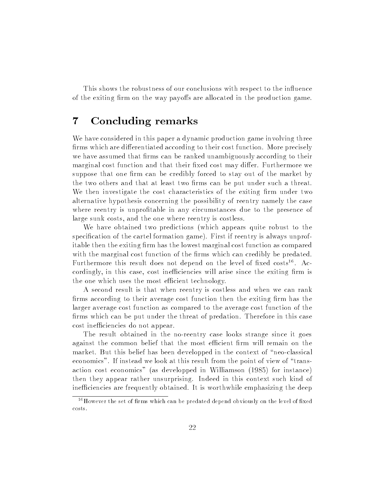This shows the robustness of our conclusions with respect to the influence of the exiting firm on the way payoffs are allocated in the production game.

## <sup>7</sup> Concluding remarks

We have considered in this paper a dynamic production game involving three firms which are differentiated according to their cost function. More precisely we have assumed that firms can be ranked unambiguously according to their marginal cost function and that their fixed cost may differ. Furthermore we suppose that one firm can be credibly forced to stay out of the market by the two others and that at least two firms can be put under such a threat. We then investigate the cost characteristics of the exiting firm under two alternative hypothesis concerning the possibility of reentry namely the case where reentry is unprofitable in any circumstances due to the presence of large sunk costs, and the one where reentry is costless.

We have obtained two predictions (which appears quite robust to the specification of the cartel formation game). First if reentry is always unprofitable then the exiting firm has the lowest marginal cost function as compared with the marginal cost function of the firms which can credibly be predated.  $\Gamma$ urthermore this result does not depend on the level of fixed costs". Accordingly, in this case, cost inefficiencies will arise since the exiting firm is the one which uses the most efficient technology.

A second result is that when reentry is costless and when we can rank firms according to their average cost function then the exiting firm has the larger average cost function as compared to the average cost function of the firms which can be put under the threat of predation. Therefore in this case cost inefficiencies do not appear.

The result obtained in the no-reentry case looks strange since it goes against the common belief that the most efficient firm will remain on the market. But this belief has been developped in the context of "neo-classical economics". If instead we look at this result from the point of view of \transaction cost economics" (as developped in Williamson (1985) for instance) then they appear rather unsurprising. Indeed in this context such kind of inefficiencies are frequently obtained. It is worthwhile emphasizing the deep

 $16$  However the set of firms which can be predated depend obviously on the level of fixed costs.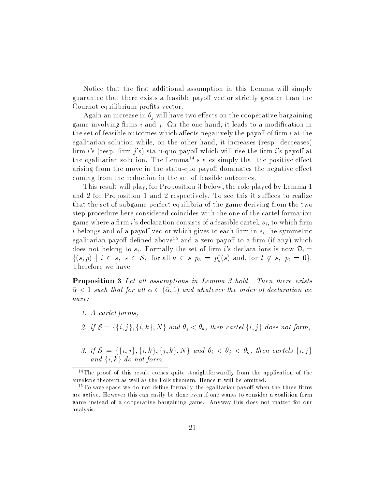Notice that the first additional assumption in this Lemma will simply guarantee that there exists a feasible payoff vector strictly greater than the Cournot equilibrium profits vector.

Again an increase in  $\theta_i$  will have two effects on the cooperative bargaining game involving firms  $i$  and  $j$ : On the one hand, it leads to a modification in the set of feasible outcomes which affects negatively the payoff of firm  $i$  at the egalitarian solution while, on the other hand, it increases (resp. decreases) firm i's (resp. firm i's) statu-quo payoff which will rise the firm i's payoff at the egalitarian solution. The Lemma<sup>14</sup> states simply that the positive effect arising from the move in the statu-quo payoff dominates the negative effect coming from the reduction in the set of feasible outcomes.

This result will play, for Proposition 3 below, the role played by Lemma 1 and 2 for Proposition 1 and 2 respectively. To see this it suffices to realize that the set of subgame perfect equilibria of the game deriving from the two step procedure here considered coincides with the one of the cartel formation game where a firm i's declaration consists of a feasible cartel,  $s_i$ , to which firm i belongs and of a payoff vector which gives to each firm in  $s_i$  the symmetric egalitarian payoff defined above<sup>15</sup> and a zero payoff to a firm (if any) which does not belong to  $s_i$ . Formally the set of firm i's declarations is now  $\mathcal{D}_i$  =  $\{(s,p) \mid t \in s, s \in \mathcal{S}, \text{ for all } n \in s \text{ } p_h = p_h(s) \text{ and, for } t \notin s, p_l = 0\}.$ Therefore we have:

Proposition 3 Let all assumptions in Lemma 3 hold. Then there exists  $\bar{\alpha}$  < 1 such that for all  $\alpha \in (\bar{\alpha}, 1)$  and whatever the order of declaration we have:

1. A cartel forms,

2. if  $S = \{\{i, j\}, \{i, k\}, N\}$  and  $\theta_j < \theta_k$ , then cartel  $\{i, j\}$  does not form,

3. if  $S = \{\{i, j\}, \{i, k\}, \{j, k\}, N\}$  and  $\theta_i < \theta_j < \theta_k$ , then cartels  $\{i, j\}$ and  $\{i, k\}$  do not form.

<sup>&</sup>lt;sup>14</sup>The proof of this result comes quite straightforwardly from the application of the envelope theorem as well as the Folk theorem. Hence it will be omitted.

 $15$ To save space we do not define formally the egalitarian payoff when the three firms are active. However this can easily be done even if one wants to consider a coalition form game instead of a cooperative bargaining game. Anyway this does not matter for our analysis.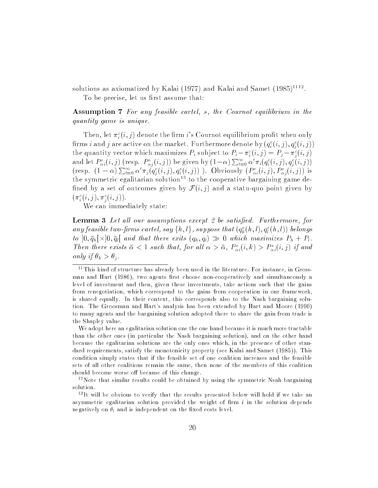solutions as axiomatized by Kalai (1977) and Kalai and Samet (1985)<sup>1112</sup>.

To be precise, let us first assume that:

Assumption 7 For any feasible cartel, s, the Cournot equilibrium in the quantity game is unique.

Then, let  $\pi_i^c(i,j)$  denote the firm i's Cournot equilibrium profit when only firms  $i$  and  $j$  are active on the market. Furthermore denote by  $(q_i^{\scriptscriptstyle\cdot}(i,j),q_i^{\scriptscriptstyle\cdot}(i,j))$ the quantity vector which maximizes  $P_i$  subject to  $P_i - \pi_i^2(i, j) = P_j - \pi_i^2(i, j)$ and let  $P_{\alpha i}^e(i,j)$  (resp.  $P_{\alpha i}^e(i,j)$ ) be given by  $(1-\alpha)\sum_{t=0}^{\infty} \alpha^t \pi_i(q_i^e(i,j), q_i^e(i,j))$ (resp.  $(1 - \alpha) \sum_{i=0}^{\infty} \alpha^i \pi_j(q_i^e(i,j), q_i^e(i,j))$ ). Obviously  $(P_{\sigma_i}^e(i,j), P_{\sigma_i}^e(i,j))$  is the symmetric egalitarian solution<sup>--</sup> to the cooperative bargaining game defined by a set of outcomes given by  $\mathcal{F}(i, j)$  and a statu-quo point given by  $(\pi_i^{\cdot}(i,j), \pi_i^{\cdot}(i,j))$ .

We can immediately state:

**Lemma 3** Let all our assumptions except 2 be satisfied. Furthermore, for any jeasible two-jirms cartet, say  $\{n, t\}$ , suppose that  $(q_{\tilde{h}}(n, t), q_{\tilde{l}}(n, t))$  belongs to  $[0, \bar{q}_h] \times [0, \bar{q}_l]$  and that there exits  $(q_h, q_l) \gg 0$  which maximizes  $P_h + P_l$ . Then there exists  $\bar{\alpha} < 1$  such that, for all  $\alpha > \bar{\alpha}$ ,  $P_{\alpha i}^e(i, k) > P_{\alpha i}^e(i, j)$  if and only if  $\theta_k > \theta_i$ .

We adopt here an egalitarian solution one the one hand because it is much more tractable than the other ones (in particular the Nash bargaining solution), and on the other hand because the egalitarian solutions are the only ones which, in the presence of other standard requirements, satisfy the monotonicity property (see Kalai and Samet (1985)). This condition simply states that if the feasible set of one coalition increases and the feasible sets of all other coalitions remain the same, then none of the members of this coalition should become worse off because of this change.

12Note that similar results could be obtained by using the symmetric Nsah bargaining solution.

13It will be obvious to verify that the results presented below will hold if we take an asymmetric egalitarian solution provided the weight of firm  $i$  in the solution depends negatively on  $\theta_i$  and is independent on the fixed costs level.

 $11$ This kind of structure has already been used in the literature. For instance, in Grossman and Hart (1986), two agents first choose non-cooperatively and simultaneously a level of investment and then, given these investments, take actions such that the gains from renegotiation, which correspond to the gains from cooperation in our framework, is shared equally. In their context, this corresponds also to the Nash bargaining solution. The Groosman and Hart's analysis has been extended by Hart and Moore (1990) to many agents and the bargaining solution adopted there to share the gain from trade is the Shapley value.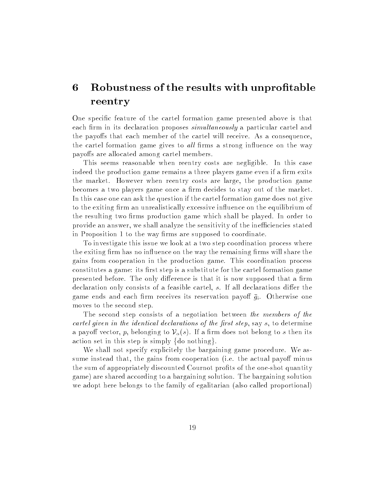## 6 Robustness of the results with unprofitable reentry

One specic feature of the cartel formation game presented above is that each firm in its declaration proposes  $simultaneously$  a particular cartel and the payoffs that each member of the cartel will receive. As a consequence, the cartel formation game gives to *all* firms a strong influence on the way payoffs are allocated among cartel members.

This seems reasonable when reentry costs are negligible. In this case indeed the production game remains a three players game even if a firm exits the market. However when reentry costs are large, the production game becomes a two players game once a firm decides to stay out of the market. In this case one can ask the question if the cartel formation game does not give to the exiting firm an unrealistically excessive influence on the equilibrium of the resulting two firms production game which shall be played. In order to provide an answer, we shall analyze the sensitivity of the inefficiencies stated in Proposition 1 to the way firms are supposed to coordinate.

To investigate this issue we look at a two step coordination process where the exiting firm has no influence on the way the remaining firms will share the gains from cooperation in the production game. This coordination process constitutes a game: its first step is a substitute for the cartel formation game presented before. The only difference is that it is now supposed that a firm declaration only consists of a feasible cartel, s. If all declarations differ the game ends and each firm receives its reservation payoff  $\bar{g}_i$ . Otherwise one moves to the second step.

The second step consists of a negotiation between the members of the cartel given in the identical declarations of the first step, say  $s$ , to determine a payoff vector, p, belonging to  $\mathcal{V}_\alpha(s)$ . If a firm does not belong to s then its action set in this step is simply  $\{do \ nothing\}.$ 

We shall not specify explicitely the bargaining game procedure. We assume instead that, the gains from cooperation (i.e. the actual payoff minus the sum of appropriately discounted Cournot profits of the one-shot quantity game) are shared according to a bargaining solution. The bargaining solution we adopt here belongs to the family of egalitarian (also called proportional)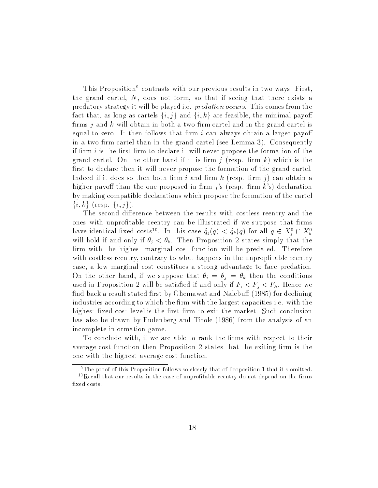This Proposition<sup>9</sup> contrasts with our previous results in two ways: First, the grand cartel, N, does not form, so that if seeing that there exists a predatory strategy it will be played i.e. predation occurs. This comes from the fact that, as long as cartels  $\{i, j\}$  and  $\{i, k\}$  are feasible, the minimal payoff firms  $j$  and k will obtain in both a two-firm cartel and in the grand cartel is equal to zero. It then follows that firm  $i$  can always obtain a larger payoff in a two-firm cartel than in the grand cartel (see Lemma 3). Consequently if firm  $i$  is the first firm to declare it will never propose the formation of the grand cartel. On the other hand if it is firm  $j$  (resp. firm  $k$ ) which is the first to declare then it will never propose the formation of the grand cartel. Indeed if it does so then both firm i and firm  $k$  (resp. firm i) can obtain a higher payoff than the one proposed in firm  $i$ 's (resp. firm k's) declaration by making compatible declarations which propose the formation of the cartel  $\{i, k\}$  (resp.  $\{i, j\}$ ).

The second difference between the results with costless reentry and the ones with unprofitable reentry can be illustrated if we suppose that firms have identical fixed costs<sup>--</sup>. In this case  $q_j(q) \le q_k(q)$  for all  $q \in \Lambda_j^+ \cap \Lambda_k^$ will hold if and only if  $\theta_j < \theta_k$ . Then Proposition 2 states simply that the firm with the highest marginal cost function will be predated. Therefore with costless reentry, contrary to what happens in the unpropfitable reentry case, a low marginal cost constitues a strong advantage to face predation. On the other hand, if we suppose that  $\theta_i = \theta_j = \theta_k$  then the conditions used in Proposition 2 will be satisfied if and only if  $F_i < F_j < F_k$ . Hence we find back a result stated first by Ghemawat and Nalebuff (1985) for declining industries according to which the firm with the largest capacities i.e. with the highest fixed cost level is the first firm to exit the market. Such conclusion has also be drawn by Fudenberg and Tirole (1986) from the analysis of an incomplete information game.

To conclude with, if we are able to rank the firms with respect to their average cost function then Proposition 2 states that the exiting firm is the one with the highest average cost function.

<sup>&</sup>lt;sup>9</sup>The proof of this Proposition follows so closely that of Proposition 1 that it s omitted.  $10$  Recall that our results in the case of unprofitable reentry do not depend on the firms xed costs.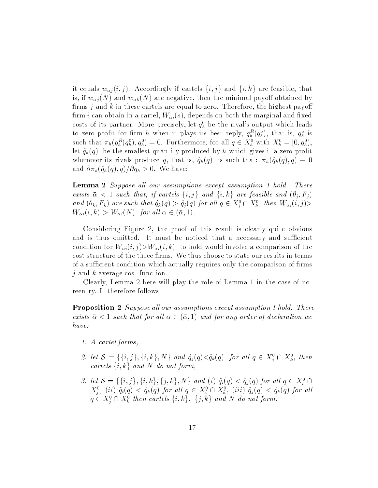it equals  $w_{\alpha j}(i, j)$ . Accordingly if cartels  $\{i, j\}$  and  $\{i, k\}$  are feasible, that is, if  $w_{\alpha j}(N)$  and  $w_{\alpha k}(N)$  are negative, then the minimal payoff obtained by firms  $j$  and  $k$  in these cartels are equal to zero. Therefore, the highest payoff firm *i* can obtain in a cartel,  $W_{\alpha i}(s)$ , depends on both the marginal and fixed costs of its partner. More precisely, let  $q_h^0$  be the rival's output which leads to zero profit for firm h when it plays its best reply,  $q_h^{\tau} (q_h^{\tau})$ , that is,  $q_h^{\tau}$  is such that  $\pi_h(q_h^r(q_h), q_h^r) = 0$ . Furthermore, for all  $q \in A_h^r$  with  $A_h^r = [0, q_h^r]$ , let  $\hat{q}_h(q)$  be the smallest quantity produced by h which gives it a zero profit whenever its rivals produce q, that is,  $\hat{q}_h(q)$  is such that:  $\pi_h(\hat{q}_h(q), q) \equiv 0$ and  $\partial \pi_h(\hat{q}_h(q), q)/\partial q_h > 0$ . We have:

Lemma 2 Suppose all our assumptions except assumption 1 hold. There exists  $\bar{\alpha}$  < 1 such that, if cartels  $\{i, j\}$  and  $\{i, k\}$  are feasible and  $(\theta_j, F_j)$ and  $(v_k, r_k)$  are such that  $q_k(q) > q_j(q)$  for all  $q \in X_j^+ \sqcup X_k^-,$  then  $W_{\alpha i}(i, j)$ >  $W_{\alpha i}(i, k) > W_{\alpha i}(N)$  for all  $\alpha \in (\bar{\alpha}, 1)$ .

Considering Figure 2, the proof of this result is clearly quite obvious and is thus omitted. It must be noticed that a necessary and sufficient condition for  $W_{\alpha i}(i, j) > W_{\alpha i}(i, k)$  to hold would involve a comparison of the cost structure of the three firms. We thus choose to state our results in terms of a sufficient condition which actually requires only the comparison of firms  $j$  and k average cost function.

Clearly, Lemma 2 here will play the role of Lemma 1 in the case of noreentry. It therefore follows:

Proposition 2 Suppose all our assumptions except assumption 1 hold. There exists  $\bar{\alpha} < 1$  such that for all  $\alpha \in (\bar{\alpha}, 1)$  and for any order of declaration we have:

- 1. A cartel forms,
- 2. let  $S = \{ \{i, j\}, \{i, \kappa\}, N \}$  and  $q_j (q) \leq q_k(q)$  for all  $q \in X_j^+ \sqcup X_k^-,$  then cartels  $\{i, k\}$  and N do not form,
- 3. let  $S = \{ \{i, j\}, \{i, k\}, \{j, k\}, N \}$  and  $(i)$   $q_i(q) \leq q_j(q)$  for all  $q \in X_i$  if  $\Delta_j^{\pm}$ , (ii)  $q_i(q) \le q_k(q)$  for all  $q \in \Delta_i^{\pm} \sqcup \Delta_k^{\pm}$ , (iii)  $q_j(q) \le q_k(q)$  for all  $q \in A_{\tilde{j}} \cap A_{\tilde{k}}$  then cartets  $\{i, \kappa\}, \{j, \kappa\}$  and N do not form.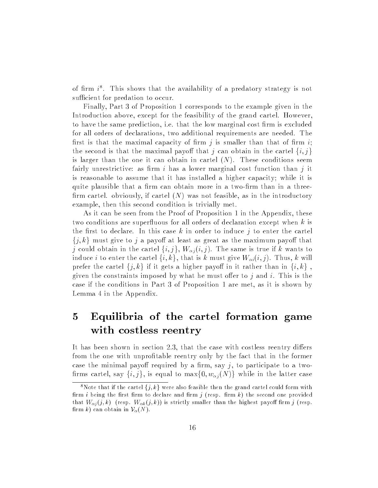of  $\lim_{\epsilon \to 0} t$ . This shows that the availability of a predatory strategy is not sufficient for predation to occur.

Finally, Part 3 of Proposition 1 corresponds to the example given in the Introduction above, except for the feasibility of the grand cartel. However, to have the same prediction, i.e. that the low marginal cost firm is excluded for all orders of declarations, two additional requirements are needed. The first is that the maximal capacity of firm j is smaller than that of firm i; the second is that the maximal payoff that j can obtain in the cartel  $\{i, j\}$ is larger than the one it can obtain in cartel  $(N)$ . These conditions seem fairly unrestrictive: as firm i has a lower marginal cost function than j it is reasonable to assume that it has installed a higher capacity; while it is quite plausible that a firm can obtain more in a two-firm than in a threefirm cartel. obviously, if cartel  $(N)$  was not feasible, as in the introductory example, then this second condition is trivially met.

As it can be seen from the Proof of Proposition 1 in the Appendix, these two conditions are superfluous for all orders of declaration except when  $k$  is the first to declare. In this case k in order to induce j to enter the cartel  $\{j, k\}$  must give to j a payoff at least as great as the maximum payoff that j could obtain in the cartel  $\{i, j\}$ ,  $W_{\alpha j}(i, j)$ . The same is true if k wants to induce i to enter the cartel  $\{i, k\}$ , that is k must give  $W_{\alpha i}(i, j)$ . Thus, k will prefer the cartel  $\{j, k\}$  if it gets a higher payoff in it rather than in  $\{i, k\}$ , given the constraints imposed by what he must offer to  $j$  and  $i$ . This is the case if the conditions in Part 3 of Proposition 1 are met, as it is shown by Lemma 4 in the Appendix.

# <sup>5</sup> Equilibria of the cartel formation game with costless reentry

It has been shown in section  $2.3$ , that the case with costless reentry differs from the one with unprofitable reentry only by the fact that in the former case the minimal payoff required by a firm, say  $j$ , to participate to a twofirms cartel, say  $\{i, j\}$ , is equal to  $\max\{0, w_{\alpha j}(N)\}\$  while in the latter case

<sup>&</sup>lt;sup>8</sup>Note that if the cartel  $\{j, k\}$  were also feasible then the grand cartel could form with firm i being the first firm to declare and firm  $j$  (resp. firm  $k$ ) the second one provided that  $W_{\alpha j}(j, k)$  (resp.  $W_{\alpha k}(j, k)$ ) is strictly smaller than the highest payoff firm j (resp. firm k) can obtain in  $\mathcal{V}_{\alpha}(N)$ .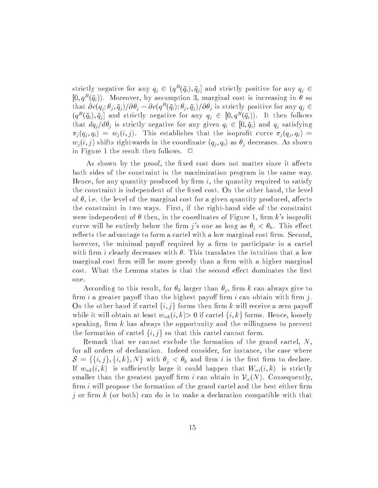strictly negative for any  $q_j \in (q^R(\bar{q}_i), \bar{q}_j]$  and strictly positive for any  $q_j \in$  $[0, q^R(\bar{q}_i))$ . Moreover, by assumption 3, marginal cost is increasing in  $\theta$  so that  $\partial c(q_j;\theta_j,\bar{q}_j)/\partial \theta_j-\partial c(q^R(\bar{q}_i);\theta_j,\bar{q}_j)/\partial \theta_j$  is strictly positive for any  $q_j \in$  $(q^R(\bar{q}_i), \bar{q}_j]$  and strictly negative for any  $q_j \in [0, q^R(\bar{q}_i))$ . It then follows that  $dq_j/d\theta_j$  is strictly negative for any given  $q_i \in [0, \bar{q}_i)$  and  $q_j$  satisfying  $\pi_j(q_j, q_i) = w_j(i, j)$ . This establishes that the isoprofit curve  $\pi_j(q_j, q_i)$  =  $w_i(i, j)$  shifts rightwards in the coordinate  $(q_j, q_i)$  as  $\theta_j$  decreases. As shown in Figure 1 the result then follows.  $\Box$ 

As shown by the proof, the fixed cost does not matter since it affects both sides of the constraint in the maximization program in the same way. Hence, for any quantity produced by firm  $i$ , the quantity required to satisfy the constraint is independent of the fixed cost. On the other hand, the level of  $\theta$ , i.e. the level of the marginal cost for a given quantity produced, affects the constraint in two ways. First, if the right-hand side of the constraint were independent of  $\theta$  then, in the coordinates of Figure 1, firm k's isoprofit curve will be entirely below the firm j's one as long as  $\theta_j < \theta_k$ . This effect reflects the advantage to form a cartel with a low marginal cost firm. Second, however, the minimal payoff required by a firm to participate in a cartel with firm i clearly decreases with  $\theta$ . This translates the intuition that a low marginal cost firm will be more greedy than a firm with a higher marginal cost. What the Lemma states is that the second effect dominates the first one.

According to this result, for  $\theta_k$  larger than  $\theta_j$ , firm k can always give to firm i a greater payoff than the highest payoff firm i can obtain with firm j. On the other hand if cartel  $\{i, j\}$  forms then firm k will receive a zero payoff while it will obtain at least  $w_{\alpha k}(i, k) > 0$  if cartel  $\{i, k\}$  forms. Hence, loosely speaking, firm  $k$  has always the opportunity and the willingness to prevent the formation of cartel  $\{i, j\}$  so that this cartel cannot form.

Remark that we cannot exclude the formation of the grand cartel, N, for all orders of declaration. Indeed consider, for instance, the case where  $\mathcal{S} = \{\{i, j\}, \{i, k\}, N\}$  with  $\theta_j < \theta_k$  and firm i is the first firm to declare. If  $w_{\alpha k}(i, k)$  is sufficiently large it could happen that  $W_{\alpha i}(i, k)$  is strictly smaller than the greatest payoff firm i can obtain in  $\mathcal{V}_{\alpha}(N)$ . Consequently, firm  $i$  will propose the formation of the grand cartel and the best either firm j or firm  $k$  (or both) can do is to make a declaration compatible with that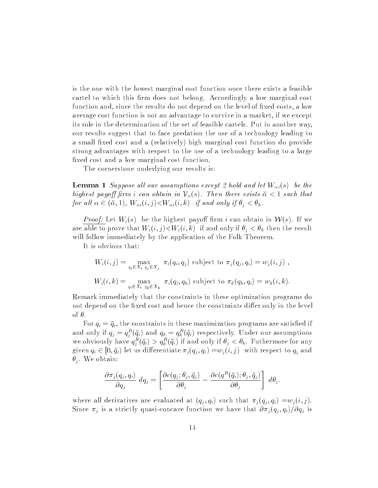is the one with the lowest marginal cost function once there exists a feasible cartel to which this firm does not belong. Accordingly a low marginal cost function and, since the results do not depend on the level of fixed costs, a low average cost function is not an advantage to survive in a market, if we except its role in the determination of the set of feasible cartels. Put in another way, our results suggest that to face predation the use of a technology leading to a small fixed cost and a (relatively) high marginal cost function do provide strong advantages with respect to the use of a technology leading to a large fixed cost and a low marginal cost function.

The cornerstone underlying our results is:

**Lemma 1** Suppose all our assumptions except 2 hold and let  $W_{\alpha i}(s)$  be the highest payoff firm i can obtain in  $\mathcal{V}_\alpha(s)$ . Then there exists  $\bar{\alpha} < 1$  such that for all  $\alpha \in (\bar{\alpha}, 1)$ ,  $W_{\alpha i}(i, j) \lt W_{\alpha i}(i, k)$  if and only if  $\theta_i \lt \theta_k$ .

*Proof:* Let  $W_i(s)$  be the highest payoff firm i can obtain in  $W(s)$ . If we are able to prove that  $W_i(i, j) \lt W_i(i, k)$  if and only if  $\theta_i \lt \theta_k$  then the result will follow immediately by the application of the Folk Theorem.

It is obvious that:

$$
W_i(i,j) = \max_{q_i \in X_i} \pi_i(q_i, q_j) \text{ subject to } \pi_j(q_j, q_i) = w_j(i,j),
$$
  

$$
W_i(i,k) = \max_{q_i \in X_i} \pi_i(q_i, q_k) \text{ subject to } \pi_k(q_k, q_i) = w_k(i,k).
$$

Remark immediately that the constraints in these optimization programs do not depend on the fixed cost and hence the constraints differ only in the level of  $\theta$ .<br>For  $q_i = \bar{q}_i$ , the constraints in these maximization programs are satisfied if

and only if  $q_j = q_i^{\perp}(q_i)$  and  $q_k = q_k^{\perp}(q_i)$  respectively. Under our assumptions we obviously have  $q_i^{\perp}(q_i) > q_k^{\perp}(q_i)$  if and only if  $\sigma_j < \sigma_k$ . Futhermore for any given  $q_i \in [0, \bar{q}_i)$  let us differentiate  $\pi_j(q_j, q_i) = w_j (i, j)$  with respect to  $q_j$  and  $\theta_i$ . We obtain:

$$
\frac{\partial \pi_j(q_j,q_i)}{\partial q_j} \, dq_j = \left[ \frac{\partial c(q_j;\theta_j,\bar{q}_j)}{\partial \theta_j} - \frac{\partial c(q^R(\bar{q}_i);\theta_j,\bar{q}_j)}{\partial \theta_j} \right] \, d\theta_j.
$$

where all derivatives are evaluated at  $(q_j, q_i)$  such that  $\pi_j (q_j, q_i) = w_j (i, j)$ . Since  $\pi_j$  is a strictly quasi-concave function we have that  $\partial \pi_j (q_j, q_i)/\partial q_j$  is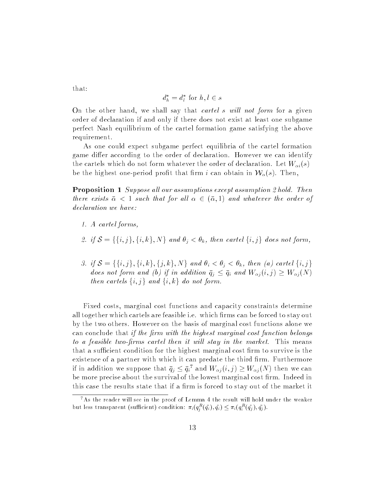that:

$$
d_h^* = d_l^* \text{ for } h, l \in s
$$

On the other hand, we shall say that *cartel s will not form* for a given order of declaration if and only if there does not exist at least one subgame perfect Nash equilibrium of the cartel formation game satisfying the above requirement.

As one could expect subgame perfect equilibria of the cartel formation game differ according to the order of declaration. However we can identify the cartels which do not form whatever the order of declaration. Let  $W_{\alpha i}(s)$ be the highest one-period profit that firm i can obtain in  $\mathcal{W}_\alpha(s)$ . Then,

Proposition 1 Suppose all our assumptions except assumption 2 hold. Then there exists  $\bar{\alpha} < 1$  such that for all  $\alpha \in (\bar{\alpha}, 1)$  and whatever the order of declaration we have:

- 1. A cartel forms,
- 2. if  $S = \{\{i, j\}, \{i, k\}, N\}$  and  $\theta_i < \theta_k$ , then cartel  $\{i, j\}$  does not form,
- 3. if  $S = \{\{i, j\}, \{i, k\}, \{j, k\}, N\}$  and  $\theta_i < \theta_j < \theta_k$ , then (a) cartel  $\{i, j\}$ does not form and (b) if in addition  $\bar{q}_j \leq \bar{q}_i$  and  $W_{\alpha j}(i, j) \geq W_{\alpha j} (N)$ then cartels  $\{i, j\}$  and  $\{i, k\}$  do not form.

Fixed costs, marginal cost functions and capacity constraints determine all together which cartels are feasible i.e. which firms can be forced to stay out by the two others. However on the basis of marginal cost functions alone we can conclude that if the firm with the highest marginal cost function belongs to a feasible two-firms cartel then it will stay in the market. This means that a sufficient condition for the highest marginal cost firm to survive is the existence of a partner with which it can predate the third firm. Furthermore If in addition we suppose that  $q_i \leq q_i$  and  $W_{\alpha i}(i, j) \geq W_{\alpha i}(N)$  then we can be more precise about the survival of the lowest marginal cost firm. Indeed in this case the results state that if a firm is forced to stay out of the market it

<sup>&</sup>lt;sup>7</sup>As the reader will see in the proof of Lemma 4 the result will hold under the weaker but less transparent (sufficient) condition:  $\pi_i(q_j^-(q_i), q_i) \leq \pi_i(q_i^-(q_j), q_j)$ .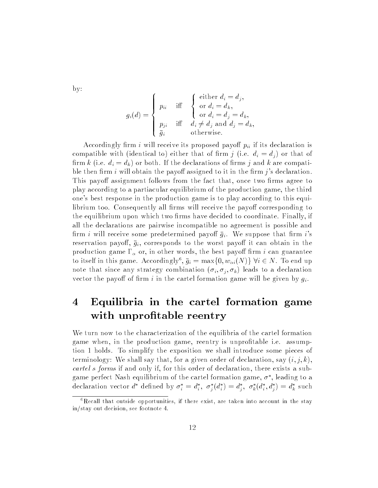by:

$$
g_i(d) = \begin{cases} p_{ii} & \text{iff} \quad \begin{cases} \text{either } d_i = d_j, \\ \text{or } d_i = d_k, \\ \text{or } d_i = d_j = d_k, \\ p_{ji} & \text{iff} \quad d_i \neq d_j \text{ and } d_j = d_k, \\ \bar{g}_i & \text{otherwise.} \end{cases} \end{cases}
$$

Accordingly firm *i* will receive its proposed payoff  $p_{ii}$  if its declaration is compatible with (identical to) either that of firm j (i.e.  $d_i = d_j$ ) or that of firm k (i.e.  $d_i = d_k$ ) or both. If the declarations of firms j and k are compatible then firm i will obtain the payoff assigned to it in the firm j's declaration. This payoff assignment follows from the fact that, once two firms agree to play according to a partiacular equilibrium of the production game, the third one's best response in the production game is to play according to this equilibrium too. Consequently all firms will receive the payoff corresponding to the equilibrium upon which two firms have decided to coordinate. Finally, if all the declarations are pairwise incompatible no agreement is possible and firm *i* will receive some predetermined payoff  $\bar{g}_i$ . We suppose that firm *i*'s reservation payoff,  $\bar{g}_i$ , corresponds to the worst payoff it can obtain in the production game  $\Gamma_{\alpha}$  or, in other words, the best payoff firm i can guarantee to itself in this game. Accordingly  $, q_i = \max\{0, w_{\alpha i}(N)\}\$  vi  $\in N$ . To end up note that since any strategy combination  $(\sigma_i, \sigma_j, \sigma_k)$  leads to a declaration vector the payoff of firm i in the cartel formation game will be given by  $g_i$ .

# <sup>4</sup> Equilibria in the cartel formation game with unprofitable reentry

We turn now to the characterization of the equilibria of the cartel formation game when, in the production game, reentry is unprofitable i.e. assumption 1 holds. To simplify the exposition we shall introduce some pieces of terminology: We shall say that, for a given order of declaration, say  $(i, j, k)$ , cartel <sup>s</sup> forms if and only if, for this order of declaration, there exists a subgame befiect ivash equilibrium of the cartel formation game,  $\sigma$  , leading to a declaration vector *a* defined by  $\sigma_i = a_i$ ,  $\sigma_i(a_i) = a_j$ ,  $\sigma_k(a_i, a_j) = a_k$  such

 ${}^6$ Recall that outside opportunities, if there exist, are taken into account in the stay in/stay out decision, see footnote 4.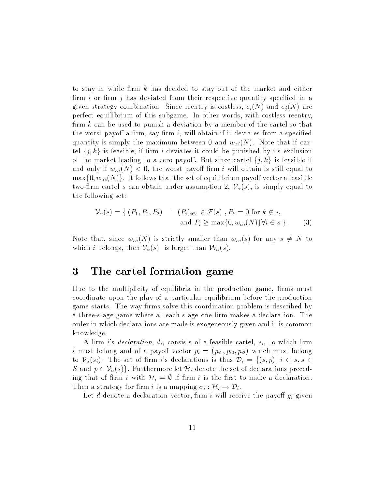to stay in while firm  $k$  has decided to stay out of the market and either firm  $i$  or firm  $j$  has deviated from their respective quantity specified in a given strategy combination. Since reentry is costless,  $e_i(N)$  and  $e_j(N)$  are perfect equilibrium of this subgame. In other words, with costless reentry, firm  $k$  can be used to punish a deviation by a member of the cartel so that the worst payoff a firm, say firm  $i$ , will obtain if it deviates from a specified quantity is simply the maximum between 0 and  $w_{\alpha i}(N)$ . Note that if cartel  $\{j, k\}$  is feasible, if firm i deviates it could be punished by its exclusion of the market leading to a zero payoff. But since cartel  $\{j, k\}$  is feasible if and only if  $w_{\alpha i}(N) < 0$ , the worst payoff firm i will obtain is still equal to  $\max\{0, w_{\alpha i}(N)\}\.$  It follows that the set of equilibrium payoff vector a feasible two-firm cartel s can obtain under assumption 2,  $\mathcal{V}_\alpha(s)$ , is simply equal to the following set:

$$
\mathcal{V}_{\alpha}(s) = \{ (P_1, P_2, P_3) \mid (P_i)_{i \in s} \in \mathcal{F}(s), P_k = 0 \text{ for } k \notin s, \text{ and } P_i \ge \max\{0, w_{\alpha i}(N)\} \forall i \in s \}.
$$
 (3)

Note that, since  $w_{\alpha i}(N)$  is strictly smaller than  $w_{\alpha i}(s)$  for any  $s \neq N$  to which i belongs, then  $\mathcal{V}_{\alpha}(s)$  is larger than  $\mathcal{W}_{\alpha}(s)$ .

## <sup>3</sup> The cartel formation game

Due to the multiplicity of equilibria in the production game, firms must coordinate upon the play of a particular equilibrium before the production game starts. The way firms solve this coordination problem is described by a three-stage game where at each stage one firm makes a declaration. The order in which declarations are made is exogeneously given and it is common knowledge.

A firm i's declaration,  $d_i$ , consists of a feasible cartel,  $s_i$ , to which firm i must belong and of a payoff vector  $p_i = (p_{i1}, p_{i2}, p_{i3})$  which must belong to  $\mathcal{V}_{\alpha}(s_i)$ . The set of firm i's declarations is thus  $\mathcal{D}_i = \{(s, p) | i \in s, s \in$ S and  $p \in \mathcal{V}_\alpha(s)$ . Furthermore let  $\mathcal{H}_i$  denote the set of declarations preceding that of firm i with  $\mathcal{H}_i = \emptyset$  if firm i is the first to make a declaration. Then a strategy for firm i is a mapping  $\sigma_i : \mathcal{H}_i \to \mathcal{D}_i$ .

Let d denote a declaration vector, firm i will receive the payoff  $g_i$  given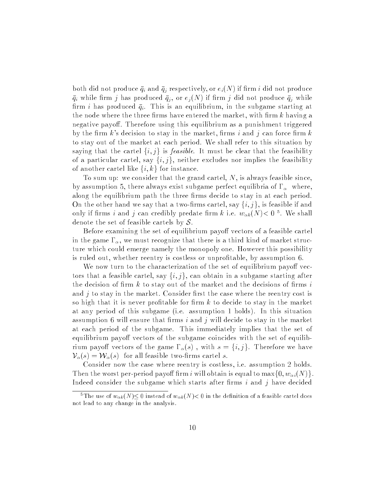both did not produce  $\bar{q}_i$  and  $\bar{q}_j$  respectively, or  $e_i(N)$  if firm i did not produce  $\bar{q}_i$  while firm j has produced  $\bar{q}_j$ , or  $e_j(N)$  if firm j did not produce  $\bar{q}_j$  while firm i has produced  $\bar{q}_i$ . This is an equilibrium, in the subgame starting at the node where the three firms have entered the market, with firm  $k$  having a negative payoff. Therefore using this equilibrium as a punishment triggered by the firm k's decision to stay in the market, firms i and j can force firm k to stay out of the market at each period. We shall refer to this situation by saying that the cartel  $\{i, j\}$  is *feasible*. It must be clear that the feasibility of a particular cartel, say  $\{i, j\}$ , neither excludes nor implies the feasibility of another cartel like  $\{i, k\}$  for instance.

To sum up: we consider that the grand cartel, N, is always feasible since, by assumption 5, there always exist subgame perfect equilibria of  $\Gamma_{\alpha}$  where, along the equilibrium path the three firms decide to stay in at each period. On the other hand we say that a two-firms cartel, say  $\{i, j\}$ , is feasible if and only if firms t and f can credibly predate firm k i.e.  $w_{\alpha k}(N) < 0$ . We shall denote the set of feasible cartels by  $S$ .

Before examining the set of equilibrium payoff vectors of a feasible cartel in the game  $\Gamma_{\alpha}$ , we must recognize that there is a third kind of market structure which could emerge namely the monopoly one. However this possibility is ruled out, whether reentry is costless or unprotable, by assumption 6.

We now turn to the characterization of the set of equilibrium payoff vectors that a feasible cartel, say  $\{i, j\}$ , can obtain in a subgame starting after the decision of firm  $k$  to stay out of the market and the decisions of firms  $i$ and  $j$  to stay in the market. Consider first the case where the reentry cost is so high that it is never profitable for firm  $k$  to decide to stay in the market at any period of this subgame (i.e. assumption 1 holds). In this situation assumption 6 will ensure that firms i and j will decide to stay in the market at each period of the subgame. This immediately implies that the set of equilibrium payoff vectors of the subgame coincides with the set of equilibrium payoff vectors of the game  $\Gamma_{\alpha}(s)$ , with  $s = \{i, j\}$ . Therefore we have  $\mathcal{V}_{\alpha}(s) = \mathcal{W}_{\alpha}(s)$  for all feasible two-firms cartel s.

Consider now the case where reentry is costless, i.e. assumption 2 holds. Then the worst per-period payoff firm i will obtain is equal to max  $\{0, w_{\alpha i}(N)\}.$ Indeed consider the subgame which starts after firms  $i$  and  $j$  have decided

<sup>&</sup>lt;sup>5</sup>The use of  $w_{\alpha k}(N) \leq 0$  instead of  $w_{\alpha k}(N) < 0$  in the definition of a feasible cartel does not lead to any change in the analysis.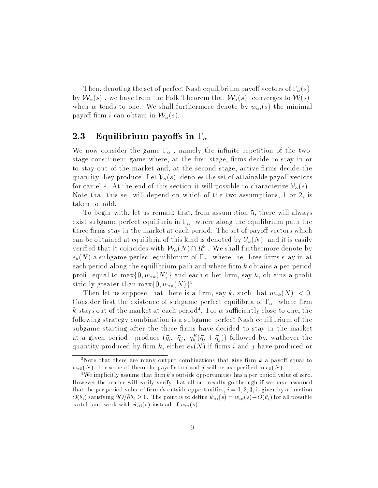Then, denoting the set of perfect Nash equilibrium payoff vectors of  $\Gamma_{\alpha}(s)$ by  $W_\alpha(s)$ , we have from the Folk Theorem that  $W_\alpha(s)$  converges to  $W(s)$ when  $\alpha$  tends to one. We shall furthermore denote by  $w_{\alpha i}(s)$  the minimal payoff firm i can obtain in  $\mathcal{W}_\alpha(s)$ .

### 2.3 Equilibrium payoffs in  $\Gamma_{\alpha}$

We now consider the game  $\Gamma_{\alpha}$ , namely the infinite repetition of the twostage constituent game where, at the first stage, firms decide to stay in or to stay out of the market and, at the second stage, active firms decide the quantity they produce. Let  $\mathcal{V}_{\alpha}(s)$  denotes the set of attainable payoff vectors for cartel s. At the end of this section it will possible to characterize  $\mathcal{V}_\alpha(s)$ . Note that this set will depend on which of the two assumptions, 1 or 2, is taken to hold.

To begin with, let us remark that, from assumption 5, there will always exist subgame perfect equilibria in  $\Gamma_{\alpha}$  where along the equilibrium path the three firms stay in the market at each period. The set of payoff vectors which can be obtained at equilibria of this kind is denoted by  $\mathcal{V}_{\alpha}(N)$  and it is easily verified that it coincides with  $W_{\alpha}(N) \cap R_+^*$ . We shall furthermore denote by  $e_k(N)$  a subgame perfect equilibrium of  $\Gamma_\alpha$  where the three firms stay in at each period along the equilibrium path and where firm  $k$  obtains a per-period profit equal to  $\max\{0, w_{\alpha k}(N)\}\$  and each other firm, say h, obtains a profit strictly greater than max $\{0,w_{\alpha h}(N)\}\$  .

Then let us suppose that there is a firm, say k, such that  $w_{\alpha k}(N) < 0$ . Consider first the existence of subgame perfect equilibria of  $\Gamma_{\alpha}$  where firm  $\kappa$  stays out of the market at each period  $\,$  . For  $\alpha$  sufficiently close to one, the following strategy combination is a subgame perfect Nash equilibrium of the subgame starting after the three firms have decided to stay in the market at a given period: produce  $(q_i, q_j, q_k (q_i + q_j))$  followed by, wathever the quantity produced by firm k, either  $e_k(N)$  if firms i and j have produced or

<sup>&</sup>lt;sup>3</sup>Note that there are many output combinations that give firm  $k$  a payoff equal to  $w_{\alpha k}(N)$ . For some of them the payoffs to i and j will be as specified in  $e_k(N)$ .

<sup>&</sup>lt;sup>4</sup>We implicitly assume that firm  $k$ 's outside opportunities has a per period value of zero. However the reader will easily verify that all our results go through if we have assumed that the per period value of firm *i*'s outside opportunities,  $i = 1, 2, 3$ , is given by a function  $O(\theta_i)$  satisfying  $\partial O/\partial \theta_i \geq 0$ . The point is to define  $\hat{w}_{\alpha i}(s) = w_{\alpha i}(s) - O(\theta_i)$  for all possible cartels and work with  $\hat{w}_{\alpha i}(s)$  instead of  $w_{\alpha i}(s)$ .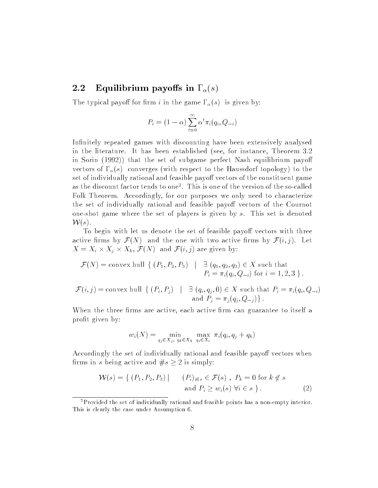## 2.2 Equilibrium payoffs in  $\Gamma_{\alpha}(s)$

The typical payoff for firm i in the game  $\Gamma_{\alpha}(s)$  is given by:

$$
P_i = (1 - \alpha) \sum_{t=0}^{\infty} \alpha^t \pi_i(q_i, Q_{-i})
$$

Infinitely repeated games with discounting have been extensively analysed in the literature. It has been established (see, for instance, Theorem 3.2 in Sorin (1992)) that the set of subgame perfect Nash equilibrium payo vectors of  $\Gamma_{\alpha}(s)$  converges (with respect to the Haussdorf topology) to the set of individually rational and feasible payoff vectors of the constituent game as the discount factor tends to one . I his is one of the version of the so-called  $\,$ Folk Theorem. Accordingly, for our purposes we only need to characterize the set of individually rational and feasible payoff vectors of the Cournot one-shot game where the set of players is given by s. This set is denoted  ${\mathcal W}(s)$ .

To begin with let us denote the set of feasible payoff vectors with three active firms by  $\mathcal{F}(N)$  and the one with two active firms by  $\mathcal{F}(i, j)$ . Let  $\mathbf{X} = \mathbf{X} \mathbf{X}$  ,  $\mathbf{X} = \mathbf{X} \mathbf{X}$  ,  $\mathbf{X} = \mathbf{X} \mathbf{X}$  ,  $\mathbf{X} = \mathbf{X} \mathbf{X}$  ,  $\mathbf{X} = \mathbf{X} \mathbf{X}$  ,  $\mathbf{X} = \mathbf{X} \mathbf{X}$  ,  $\mathbf{X} = \mathbf{X} \mathbf{X}$  ,  $\mathbf{X} = \mathbf{X} \mathbf{X}$  ,  $\mathbf{X} = \mathbf{X} \mathbf{X}$  ,  $\mathbf{$ 

$$
\mathcal{F}(N) = \text{convex hull }\{ (P_1, P_2, P_3) \mid \exists (q_1, q_2, q_3) \in X \text{ such that } P_i = \pi_i(q_i, Q_{-i}) \text{ for } i = 1, 2, 3 \}.
$$

$$
\mathcal{F}(i,j) = \text{convex hull }\{ (P_i, P_j) \mid \exists (q_i, q_j, 0) \in X \text{ such that } P_i = \pi_i(q_i, Q_{-i})
$$
  
and 
$$
P_j = \pi_j(q_j, Q_{-j}) \}.
$$

When the three firms are active, each active firm can guarantee to itself a profit given by:

$$
w_i(N) = \min_{q_j \in X_j, q_k \in X_k} \max_{q_i \in X_i} \pi_i(q_i, q_j + q_k)
$$

Accordingly the set of individually rational and feasible payoff vectors when firms in s being active and  $\#s \geq 2$  is simply:

$$
\mathcal{W}(s) = \{ (P_1, P_2, P_3) | \qquad (P_i)_{i \in s} \in \mathcal{F}(s) , P_k = 0 \text{ for } k \notin s
$$
  
and  $P_i \ge w_i(s) \forall i \in s \}.$  (2)

<sup>2</sup>Provided the set of individually rational and feasible points has a non-empty interior. This is clearly the case under Assumption 6.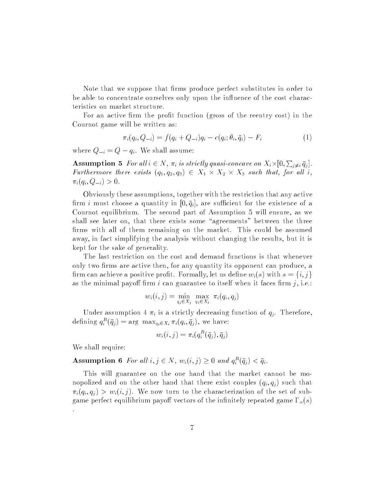Note that we suppose that firms produce perfect substitutes in order to be able to concentrate ourselves only upon the influence of the cost characteristics on market structure.

For an active firm the profit function (gross of the reentry cost) in the Cournot game will be written as:

$$
\pi_i(q_i, Q_{-i}) = f(q_i + Q_{-i})q_i - c(q_i; \theta_i, \bar{q}_i) - F_i \tag{1}
$$

where  $Q_{-i} = Q - q_i$ . We shall assume:

**Assumption 5** For all  $i \in N$ ,  $\pi_i$  is strictly quasi-concave on  $X_i \times [0, \sum_{j \neq i} \bar{q}_j]$ .  $\mathcal{L}$  are there exists (q1; q2; q3)  $\mathcal{L}$   $\mathcal{L}$   $\mathcal{L}$   $\mathcal{L}$   $\mathcal{L}$   $\mathcal{L}$   $\mathcal{L}$   $\mathcal{L}$   $\mathcal{L}$   $\mathcal{L}$   $\mathcal{L}$   $\mathcal{L}$   $\mathcal{L}$   $\mathcal{L}$   $\mathcal{L}$   $\mathcal{L}$   $\mathcal{L}$   $\mathcal{L}$   $\mathcal{L}$   $\mathcal{L}$   $\$  $\pi_i(q_i, Q_{-i}) > 0.$ 

Obviously these assumptions, together with the restriction that any active firm i must choose a quantity in  $[0, \bar{q}_i]$ , are sufficient for the existence of a Cournot equilibrium. The second part of Assumption 5 will ensure, as we shall see later on, that there exists some "agreements" between the three firms with all of them remaining on the market. This could be assumed away, in fact simplifying the analysis without changing the results, but it is kept for the sake of generality.

The last restriction on the cost and demand functions is that whenever only two firms are active then, for any quantity its opponent can produce, a firm can achieve a positive profit. Formally, let us define  $w_i(s)$  with  $s = \{i, j\}$ as the minimal payoff firm i can guarantee to itself when it faces firm  $j$ , i.e.:

$$
w_i(i,j) = \min_{q_j \in X_j} \max_{q_i \in X_i} \pi_i(q_i, q_j)
$$

Under assumption 4  $\pi_i$  is a strictly decreasing function of  $q_j$ . Therefore, defining  $q_i^{\perp}(q_j) = \arg \max_{q_i \in X_i} \pi_i(q_i, q_j)$ , we have:

$$
w_i(i,j) = \pi_i(q_i^R(\bar{q}_j),\bar{q}_j)
$$

We shall require:

**Assumption 6** For all  $i, j \in \mathbb{N}$ ,  $w_i(i, j) \geq 0$  and  $q_i^{\perp}(q_i) \leq q_i$ .

This will guarantee on the one hand that the market cannot be monopolized and on the other hand that there exist couples  $(q_i, q_j)$  such that  $\pi_i(q_i, q_j) > w_i(i, j)$ . We now turn to the characterization of the set of subgame perfect equilibrium payoff vectors of the infinitely repeated game  $\Gamma_{\alpha}(s)$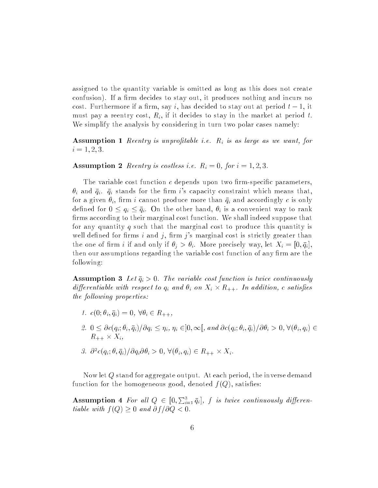assigned to the quantity variable is omitted as long as this does not create confusion). If a firm decides to stay out, it produces nothing and incurs no cost. Furthermore if a firm, say i, has decided to stay out at period  $t-1$ , it must pay a reentry cost,  $R_i$ , if it decides to stay in the market at period t. We simplify the analysis by considering in turn two polar cases namely:

**Assumption 1** Reentry is unprofitable i.e.  $R_i$  is as large as we want, for  $i = 1, 2, 3$ .

**Assumption 2** Reentry is costless i.e.  $R_i = 0$ , for  $i = 1, 2, 3$ .

The variable cost function  $c$  depends upon two firm-specific parameters,  $\theta_i$  and  $\bar{q}_i$ .  $\bar{q}_i$  stands for the firm is capacity constraint which means that, for a given  $\theta_i$ , firm i cannot produce more than  $\bar{q}_i$  and accordingly c is only defined for  $0 \leq q_i \leq \bar{q}_i$ . On the other hand,  $\theta_i$  is a convenient way to rank firms according to their marginal cost function. We shall indeed suppose that for any quantity  $q$  such that the marginal cost to produce this quantity is well defined for firms i and j, firm j's marginal cost is strictly greater than the one of firm i if and only if  $\theta_i > \theta_i$ . More precisely way, let  $X_i = [0, \bar{q}_i]$ , then our assumptions regarding the variable cost function of any firm are the following:

**Assumption 3** Let  $\bar{q}_i > 0$ . The variable cost function is twice continuously  $\alpha$  and change with respect to  $q_1$  and  $s_1$  on  $\mathbf{1}_1$   $\cdots$   $\mathbf{1}_k$  +  $\cdots$  addition, c satisfies the following properties:

- 1.  $c(0; \theta_i, \overline{q}_i)=0, \ \forall \theta_i \in R_{++},$
- 2.  $0 \leq \partial c(q_i; \theta_i, \bar{q}_i)/\partial q_i \leq \eta_i, \eta_i \in ]0, \infty[$ , and  $\partial c(q_i; \theta_i, \bar{q}_i)/\partial \theta_i > 0, \forall (\theta_i, q_i) \in$ R++ - Xi,
- 3. @ 2c(qi; ; qi)=@qi@i <sup>&</sup>gt; 0, 8(i; qi) <sup>2</sup> R++ Xi .

Now let  $Q$  stand for aggregate output. At each period, the inverse demand function for the homogeneous good, denoted  $f(Q)$ , satisfies:

**Assumption 4** For all  $Q \in [0, \sum_{i=1}^{3} \bar{q}_i]$ , f is twice continuously differentiable with  $f(Q) \geq 0$  and  $\partial f / \partial Q < 0$ .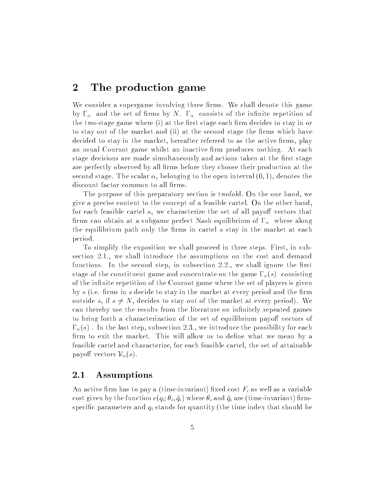## <sup>2</sup> The production game

We consider a supergame involving three firms. We shall denote this game by  $\Gamma_{\alpha}$  and the set of firms by N.  $\Gamma_{\alpha}$  consists of the infinite repetition of the two-stage game where (i) at the first stage each firm decides to stay in or to stay out of the market and (ii) at the second stage the firms which have decided to stay in the market, hereafter referred to as the active firms, play an usual Cournot game whilst an inactive firm produces nothing. At each stage decisions are made simultaneously and actions taken at the first stage are perfectly observed by all firms before they choose their production at the second stage. The scalar  $\alpha$ , belonging to the open interval  $(0, 1)$ , denotes the discount factor common to all firms.

The purpose of this preparatory section is twofold. On the one hand, we give a precise content to the concept of a feasible cartel. On the other hand, for each feasible cartel s, we characterize the set of all payoff vectors that firms can obtain at a subgame perfect Nash equilibrium of  $\Gamma_{\alpha}$  where along the equilibrium path only the firms in cartel  $s$  stay in the market at each period.

To simplify the exposition we shall proceed in three steps. First, in subsection 2.1., we shall introduce the assumptions on the cost and demand functions. In the second step, in subsection  $2.2$ , we shall ignore the first stage of the constituent game and concentrate on the game  $\Gamma_{\alpha}(s)$  consisting of the infinite repetition of the Cournot game where the set of players is given by s (i.e. firms in s decide to stay in the market at every period and the firm outside s, if  $s \neq N$ , decides to stay out of the market at every period). We can thereby use the results from the literature on infinitely repeated games to bring forth a characterization of the set of equilibrium payoff vectors of  $\Gamma_{\alpha}(s)$ . In the last step, subsection 2.3., we introduce the possibility for each firm to exit the market. This will allow us to define what we mean by a feasible cartel and characterize, for each feasible cartel, the set of attainable payoff vectors  $\mathcal{V}_{\alpha}(s)$ .

### 2.1 Assumptions

An active firm has to pay a (time-invariant) fixed cost  $F_i$  as well as a variable cost given by the function  $c(q_i; \theta_i, \bar{q}_i)$  where  $\theta_i$  and  $\bar{q}_i$  are (time-invariant) firmspecific parameters and  $q_i$  stands for quantity (the time index that should be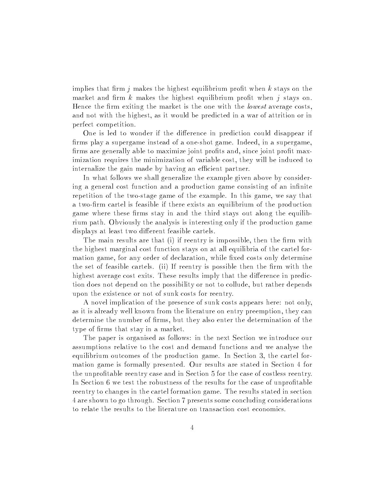implies that firm  $i$  makes the highest equilibrium profit when k stays on the market and firm  $k$  makes the highest equilibrium profit when  $j$  stays on. Hence the firm exiting the market is the one with the *lowest* average costs, and not with the highest, as it would be predicted in a war of attrition or in perfect competition.

One is led to wonder if the difference in prediction could disappear if firms play a supergame instead of a one-shot game. Indeed, in a supergame, firms are generally able to maximize joint profits and, since joint profit maximization requires the minimization of variable cost, they will be induced to internalize the gain made by having an efficient partner.

In what follows we shall generalize the example given above by considering a general cost function and a production game consisting of an infinite repetition of the two-stage game of the example. In this game, we say that a two-firm cartel is feasible if there exists an equilibrium of the production game where these firms stay in and the third stays out along the equilibrium path. Obviously the analysis is interesting only if the production game displays at least two different feasible cartels.

The main results are that  $(i)$  if reentry is impossible, then the firm with the highest marginal cost function stays on at all equilibria of the cartel formation game, for any order of declaration, while fixed costs only determine the set of feasible cartels. (ii) If reentry is possible then the firm with the highest average cost exits. These results imply that the difference in prediction does not depend on the possibility or not to collude, but rather depends upon the existence or not of sunk costs for reentry.

A novel implication of the presence of sunk costs appears here: not only, as it is already well known from the literature on entry preemption, they can determine the number of firms, but they also enter the determination of the type of firms that stay in a market.

The paper is organised as follows: in the next Section we introduce our assumptions relative to the cost and demand functions and we analyse the equilibrium outcomes of the production game. In Section 3, the cartel formation game is formally presented. Our results are stated in Section 4 for the unprotable reentry case and in Section 5 for the case of costless reentry. In Section 6 we test the robustness of the results for the case of unprofitable reentry to changes in the cartel formation game. The results stated in section 4 are shown to go through. Section 7 presents some concluding considerations to relate the results to the literature on transaction cost economics.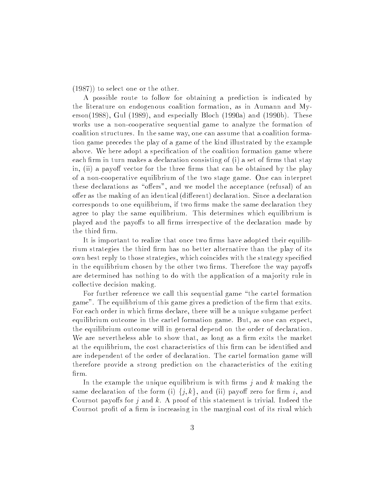(1987)) to select one or the other.

A possible route to follow for obtaining a prediction is indicated by the literature on endogenous coalition formation, as in Aumann and Myerson(1988), Gul (1989), and especially Bloch (1990a) and (1990b). These works use a non-cooperative sequential game to analyze the formation of coalition structures. In the same way, one can assume that a coalition formation game precedes the play of a game of the kind illustrated by the example above. We here adopt a specification of the coalition formation game where each firm in turn makes a declaration consisting of  $(i)$  a set of firms that stay in,  $(ii)$  a payoff vector for the three firms that can be obtained by the play of a non-cooperative equilibrium of the two stage game. One can interpret these declarations as "offers", and we model the acceptance (refusal) of an offer as the making of an identical (different) declaration. Since a declaration corresponds to one equilibrium, if two firms make the same declaration they agree to play the same equilibrium. This determines which equilibrium is played and the payoffs to all firms irrespective of the declaration made by the third firm.

It is important to realize that once two firms have adopted their equilibrium strategies the third firm has no better alternative than the play of its own best reply to those strategies, which coincides with the strategy specied in the equilibrium chosen by the other two firms. Therefore the way payoffs are determined has nothing to do with the application of a ma jority rule in collective decision making.

For further reference we call this sequential game "the cartel formation game". The equilibrium of this game gives a prediction of the firm that exits. For each order in which firms declare, there will be a unique subgame perfect equilibrium outcome in the cartel formation game. But, as one can expect, the equilibrium outcome will in general depend on the order of declaration. We are nevertheless able to show that, as long as a firm exits the market at the equilibrium, the cost characteristics of this firm can be identified and are independent of the order of declaration. The cartel formation game will therefore provide a strong prediction on the characteristics of the exiting firm.

In the example the unique equilibrium is with firms  $j$  and  $k$  making the same declaration of the form (i)  $\{j,k\}$ , and (ii) payoff zero for firm i, and Cournot payoffs for j and k. A proof of this statement is trivial. Indeed the Cournot profit of a firm is increasing in the marginal cost of its rival which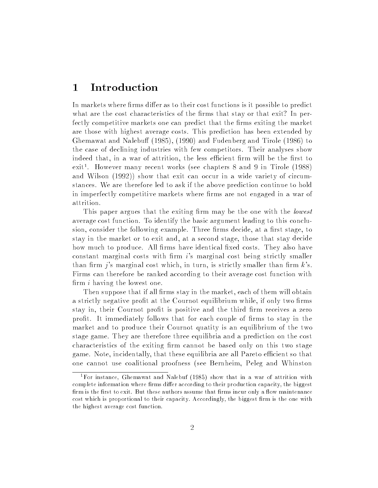#### **Introduction**  $\mathbf 1$

In markets where firms differ as to their cost functions is it possible to predict what are the cost characteristics of the firms that stay or that exit? In perfectly competitive markets one can predict that the firms exiting the market are those with highest average costs. This prediction has been extended by Ghemawat and Nalebuff  $(1985)$ ,  $(1990)$  and Fudenberg and Tirole  $(1986)$  to the case of declining industries with few competitors. Their analyses show indeed that, in a war of attrition, the less efficient firm will be the first to exit". However many recent works (see chapters 8 and 9 in Tirole (1988) and Wilson (1992)) show that exit can occur in a wide variety of circumstances. We are therefore led to ask if the above prediction continue to hold in imperfectly competitive markets where firms are not engaged in a war of attrition.

This paper argues that the exiting firm may be the one with the *lowest* average cost function. To identify the basic argument leading to this conclusion, consider the following example. Three firms decide, at a first stage, to stay in the market or to exit and, at a second stage, those that stay decide how much to produce. All firms have identical fixed costs. They also have constant marginal costs with firm  $i$ 's marginal cost being strictly smaller than firm *j*'s marginal cost which, in turn, is strictly smaller than firm  $k$ 's. Firms can therefore be ranked according to their average cost function with firm  $i$  having the lowest one.

Then suppose that if all firms stay in the market, each of them will obtain a strictly negative profit at the Cournot equilibrium while, if only two firms stay in, their Cournot profit is positive and the third firm receives a zero profit. It immediately follows that for each couple of firms to stay in the market and to produce their Cournot quatity is an equilibrium of the two stage game. They are therefore three equilibria and a prediction on the cost characteristics of the exiting firm cannot be based only on this two stage game. Note, incidentally, that these equilibria are all Pareto efficient so that one cannot use coalitional proofness (see Bernheim, Peleg and Whinston

<sup>1</sup>For instance, Ghemawat and Nalebuf (1985) show that in a war of attrition with complete information where firms differ according to their production capacity, the biggest firm is the first to exit. But these authors assume that firms incur only a flow maintenance cost which is proportional to their capacity. Accordingly, the biggest firm is the one with the highest average cost function.